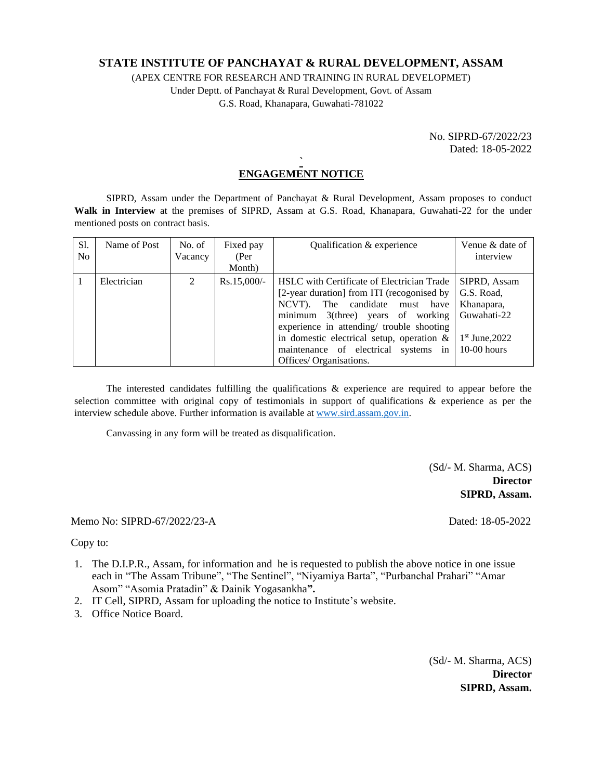# **STATE INSTITUTE OF PANCHAYAT & RURAL DEVELOPMENT, ASSAM**

(APEX CENTRE FOR RESEARCH AND TRAINING IN RURAL DEVELOPMET) Under Deptt. of Panchayat & Rural Development, Govt. of Assam

G.S. Road, Khanapara, Guwahati-781022

No. SIPRD-67/2022/23 Dated: 18-05-2022

## **` ENGAGEMENT NOTICE**

SIPRD, Assam under the Department of Panchayat & Rural Development, Assam proposes to conduct **Walk in Interview** at the premises of SIPRD, Assam at G.S. Road, Khanapara, Guwahati-22 for the under mentioned posts on contract basis.

| S1.<br>N <sub>0</sub> | Name of Post | No. of<br>Vacancy | Fixed pay<br>(Per<br>Month) | Qualification & experience                                                                                                                                                                                                                                                                                                                | Venue & date of<br>interview                                                                 |
|-----------------------|--------------|-------------------|-----------------------------|-------------------------------------------------------------------------------------------------------------------------------------------------------------------------------------------------------------------------------------------------------------------------------------------------------------------------------------------|----------------------------------------------------------------------------------------------|
|                       | Electrician  | $\mathfrak{D}$    | $Rs.15,000/-$               | <b>HSLC</b> with Certificate of Electrician Trade<br>[2-year duration] from ITI (recogonised by<br>NCVT). The candidate must have<br>minimum $3$ (three) years of working<br>experience in attending/ trouble shooting<br>in domestic electrical setup, operation $\&$<br>maintenance of electrical systems in<br>Offices/ Organisations. | SIPRD. Assam<br>G.S. Road,<br>Khanapara,<br>Guwahati-22<br>$1st$ June, 2022<br>$10-00$ hours |

The interested candidates fulfilling the qualifications & experience are required to appear before the selection committee with original copy of testimonials in support of qualifications & experience as per the interview schedule above. Further information is available at [www.sird.assam.gov.in.](http://www.sird.assam.gov.in/)

Canvassing in any form will be treated as disqualification.

(Sd/- M. Sharma, ACS) **Director SIPRD, Assam.**

Memo No: SIPRD-67/2022/23-A Dated: 18-05-2022

Copy to:

- 1. The D.I.P.R., Assam, for information and he is requested to publish the above notice in one issue each in "The Assam Tribune", "The Sentinel", "Niyamiya Barta", "Purbanchal Prahari" "Amar Asom" "Asomia Pratadin" & Dainik Yogasankha**".**
- 2. IT Cell, SIPRD, Assam for uploading the notice to Institute's website.
- 3. Office Notice Board.

(Sd/- M. Sharma, ACS) **Director SIPRD, Assam.**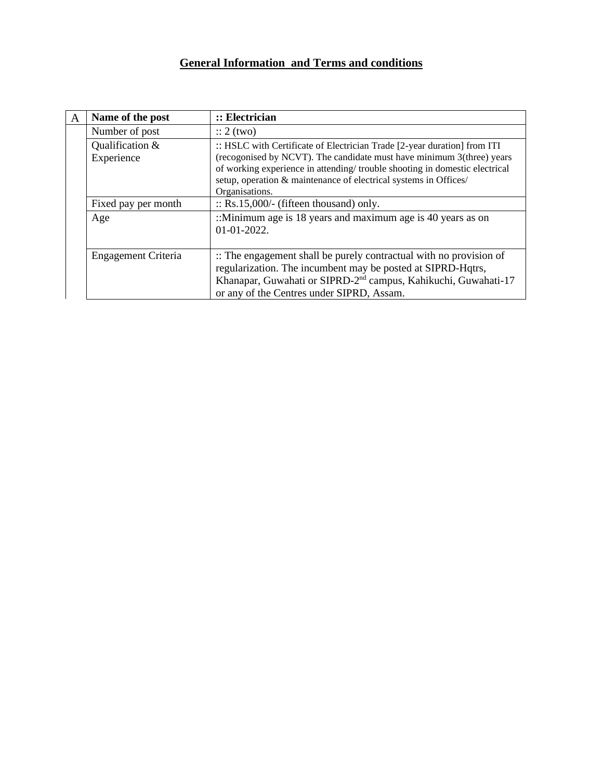# **General Information and Terms and conditions**

| A | Name of the post              | :: Electrician                                                                                                                                                                                                                                                                                                        |  |  |  |
|---|-------------------------------|-----------------------------------------------------------------------------------------------------------------------------------------------------------------------------------------------------------------------------------------------------------------------------------------------------------------------|--|--|--|
|   | Number of post                | $\therefore$ 2 (two)                                                                                                                                                                                                                                                                                                  |  |  |  |
|   | Qualification &<br>Experience | :: HSLC with Certificate of Electrician Trade [2-year duration] from ITI<br>(recogonised by NCVT). The candidate must have minimum 3(three) years<br>of working experience in attending/trouble shooting in domestic electrical<br>setup, operation & maintenance of electrical systems in Offices/<br>Organisations. |  |  |  |
|   | Fixed pay per month           | $\therefore$ Rs.15,000/- (fifteen thousand) only.                                                                                                                                                                                                                                                                     |  |  |  |
|   | Age                           | ::Minimum age is 18 years and maximum age is 40 years as on<br>$01-01-2022.$                                                                                                                                                                                                                                          |  |  |  |
|   | Engagement Criteria           | :: The engagement shall be purely contractual with no provision of<br>regularization. The incumbent may be posted at SIPRD-Hqtrs,<br>Khanapar, Guwahati or SIPRD-2 <sup>nd</sup> campus, Kahikuchi, Guwahati-17<br>or any of the Centres under SIPRD, Assam.                                                          |  |  |  |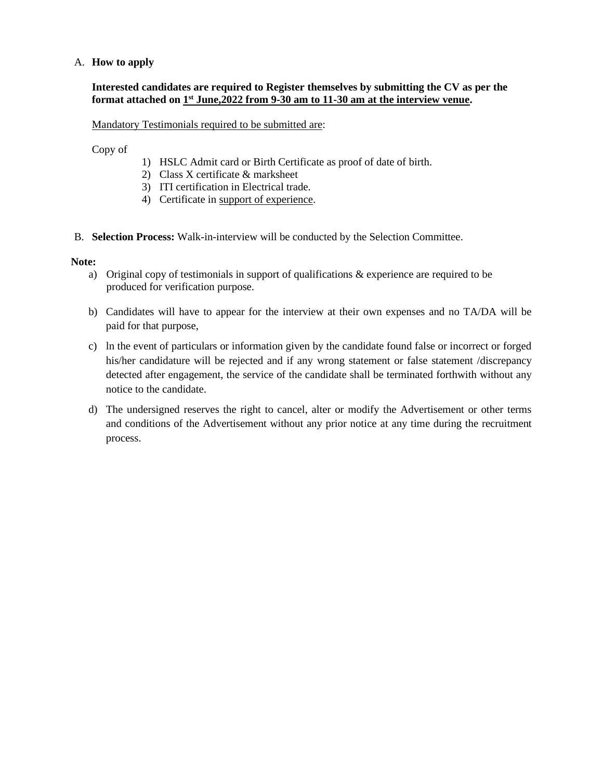# A. **How to apply**

# **Interested candidates are required to Register themselves by submitting the CV as per the format attached on 1 st June,2022 from 9-30 am to 11-30 am at the interview venue.**

Mandatory Testimonials required to be submitted are:

Copy of

- 1) HSLC Admit card or Birth Certificate as proof of date of birth.
- 2) Class X certificate & marksheet
- 3) ITI certification in Electrical trade.
- 4) Certificate in support of experience.
- B. **Selection Process:** Walk-in-interview will be conducted by the Selection Committee.

### **Note:**

- a) Original copy of testimonials in support of qualifications & experience are required to be produced for verification purpose.
- b) Candidates will have to appear for the interview at their own expenses and no TA/DA will be paid for that purpose,
- c) ln the event of particulars or information given by the candidate found false or incorrect or forged his/her candidature will be rejected and if any wrong statement or false statement /discrepancy detected after engagement, the service of the candidate shall be terminated forthwith without any notice to the candidate.
- d) The undersigned reserves the right to cancel, alter or modify the Advertisement or other terms and conditions of the Advertisement without any prior notice at any time during the recruitment process.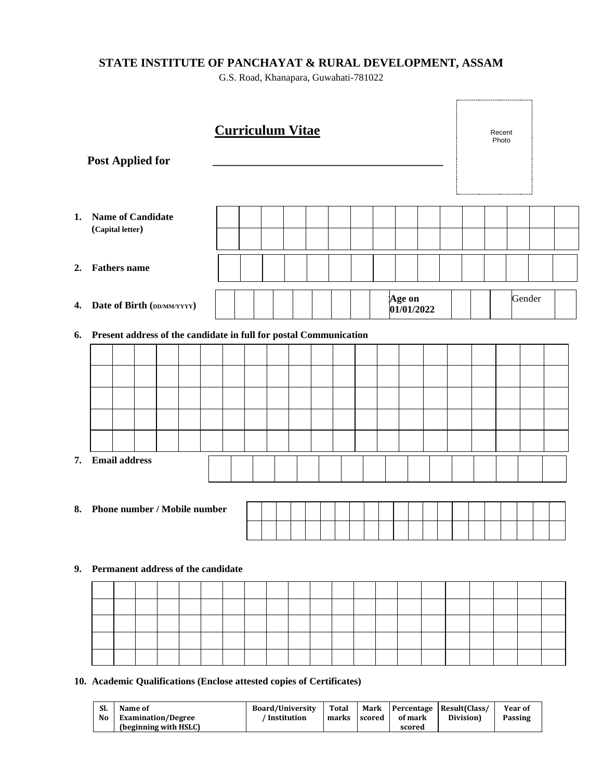# **STATE INSTITUTE OF PANCHAYAT & RURAL DEVELOPMENT, ASSAM**

G.S. Road, Khanapara, Guwahati-781022

| <b>Post Applied for</b> |                                                                   |                      |                              |  |  | <b>Curriculum Vitae</b>                                  |  |  |  |                      | --------------------------------- | Recent<br>Photo |  |        |  |
|-------------------------|-------------------------------------------------------------------|----------------------|------------------------------|--|--|----------------------------------------------------------|--|--|--|----------------------|-----------------------------------|-----------------|--|--------|--|
| 1.                      |                                                                   | (Capital letter)     | <b>Name of Candidate</b>     |  |  |                                                          |  |  |  |                      |                                   |                 |  |        |  |
| 2.                      |                                                                   | <b>Fathers</b> name  |                              |  |  |                                                          |  |  |  |                      |                                   |                 |  |        |  |
| 4.                      |                                                                   |                      | Date of Birth (DD/MM/YYYY)   |  |  |                                                          |  |  |  | Age on<br>01/01/2022 |                                   |                 |  | Gender |  |
| 6.                      | Present address of the candidate in full for postal Communication |                      |                              |  |  |                                                          |  |  |  |                      |                                   |                 |  |        |  |
|                         |                                                                   |                      |                              |  |  |                                                          |  |  |  |                      |                                   |                 |  |        |  |
|                         |                                                                   |                      |                              |  |  |                                                          |  |  |  |                      |                                   |                 |  |        |  |
|                         |                                                                   |                      |                              |  |  |                                                          |  |  |  |                      |                                   |                 |  |        |  |
|                         |                                                                   |                      |                              |  |  |                                                          |  |  |  |                      |                                   |                 |  |        |  |
|                         |                                                                   |                      |                              |  |  |                                                          |  |  |  |                      |                                   |                 |  |        |  |
| 7.                      |                                                                   | <b>Email address</b> |                              |  |  |                                                          |  |  |  |                      |                                   |                 |  |        |  |
| 8.                      |                                                                   |                      | Phone number / Mobile number |  |  |                                                          |  |  |  |                      |                                   |                 |  |        |  |
|                         |                                                                   |                      |                              |  |  |                                                          |  |  |  |                      |                                   |                 |  |        |  |
|                         | 9. Permanent address of the candidate                             |                      |                              |  |  |                                                          |  |  |  |                      |                                   |                 |  |        |  |
|                         |                                                                   |                      |                              |  |  |                                                          |  |  |  |                      |                                   |                 |  |        |  |
|                         |                                                                   |                      |                              |  |  |                                                          |  |  |  |                      |                                   |                 |  |        |  |
|                         |                                                                   |                      |                              |  |  |                                                          |  |  |  |                      |                                   |                 |  |        |  |
|                         |                                                                   |                      |                              |  |  |                                                          |  |  |  |                      |                                   |                 |  |        |  |
| 10                      |                                                                   |                      |                              |  |  | Quelifications (Englace ottested conice of Contificates) |  |  |  |                      |                                   |                 |  |        |  |

**10. Academic Qualifications (Enclose attested copies of Certificates)** 

| SI.<br>No | Name of<br><b>Examination/Degree</b> | <b>Board/University</b><br>Institution | Total<br>marks | scored | of mark | Mark   Percentage   Result(Class/<br>Division) | Year of<br>Passing |
|-----------|--------------------------------------|----------------------------------------|----------------|--------|---------|------------------------------------------------|--------------------|
|           | (beginning with HSLC)                |                                        |                |        | scored  |                                                |                    |